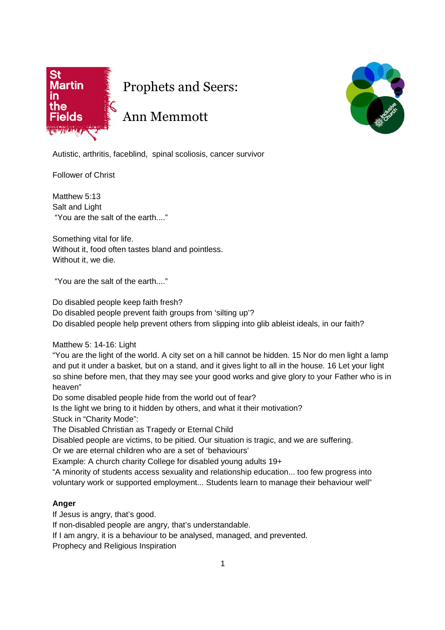

Prophets and Seers:

## Ann Memmott



Autistic, arthritis, faceblind, spinal scoliosis, cancer survivor

Follower of Christ

Matthew 5:13 Salt and Light "You are the salt of the earth...."

Something vital for life. Without it, food often tastes bland and pointless. Without it, we die.

"You are the salt of the earth...."

Do disabled people keep faith fresh?

Do disabled people prevent faith groups from 'silting up'?

Do disabled people help prevent others from slipping into glib ableist ideals, in our faith?

Matthew 5: 14-16: Light

"You are the light of the world. A city set on a hill cannot be hidden. 15 Nor do men light a lamp and put it under a basket, but on a stand, and it gives light to all in the house. 16 Let your light so shine before men, that they may see your good works and give glory to your Father who is in heaven"

Do some disabled people hide from the world out of fear?

Is the light we bring to it hidden by others, and what it their motivation? Stuck in "Charity Mode":

The Disabled Christian as Tragedy or Eternal Child

Disabled people are victims, to be pitied. Our situation is tragic, and we are suffering.

Or we are eternal children who are a set of 'behaviours'

Example: A church charity College for disabled young adults 19+

"A minority of students access sexuality and relationship education... too few progress into voluntary work or supported employment... Students learn to manage their behaviour well"

## **Anger**

If Jesus is angry, that's good.

If non-disabled people are angry, that's understandable.

If I am angry, it is a behaviour to be analysed, managed, and prevented.

Prophecy and Religious Inspiration